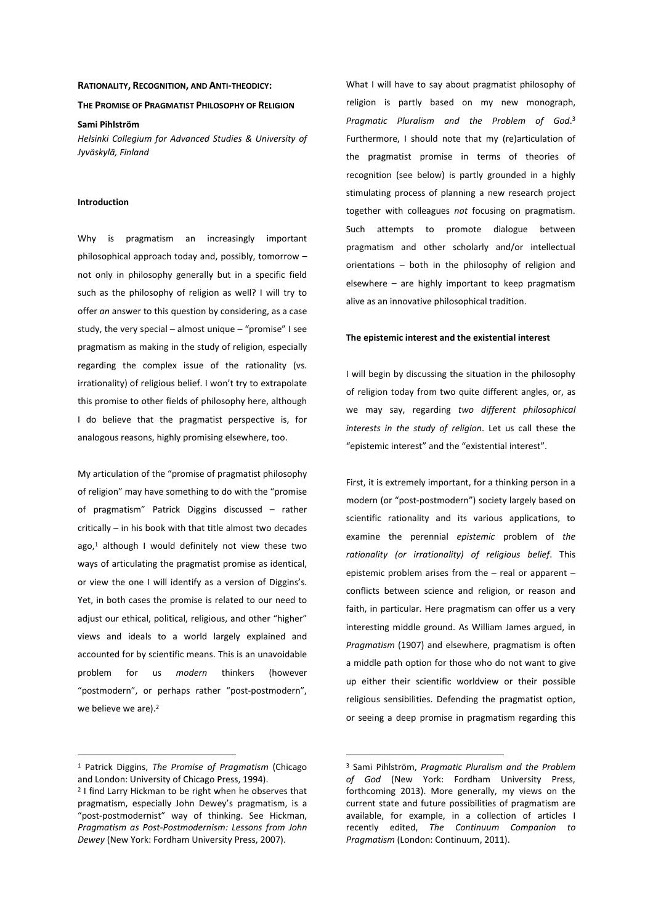## **RATIONALITY, RECOGNITION, AND ANTI-THEODICY:**

## **THE PROMISE OF PRAGMATIST PHILOSOPHY OF RELIGION**

**Sami Pihlström** 

*Helsinki Collegium for Advanced Studies & University of Jyväskylä, Finland* 

### **Introduction**

Why is pragmatism an increasingly important philosophical approach today and, possibly, tomorrow – not only in philosophy generally but in a specific field such as the philosophy of religion as well? I will try to offer *an* answer to this question by considering, as a case study, the very special – almost unique – "promise" I see pragmatism as making in the study of religion, especially regarding the complex issue of the rationality (vs. irrationality) of religious belief. I won't try to extrapolate this promise to other fields of philosophy here, although I do believe that the pragmatist perspective is, for analogous reasons, highly promising elsewhere, too.

My articulation of the "promise of pragmatist philosophy of religion" may have something to do with the "promise of pragmatism" Patrick Diggins discussed – rather critically – in his book with that title almost two decades ago, $1$  although I would definitely not view these two ways of articulating the pragmatist promise as identical, or view the one I will identify as a version of Diggins's. Yet, in both cases the promise is related to our need to adjust our ethical, political, religious, and other "higher" views and ideals to a world largely explained and accounted for by scientific means. This is an unavoidable problem for us *modern* thinkers (however "postmodern", or perhaps rather "post-postmodern", we believe we are).<sup>2</sup>

 $\overline{a}$ 

What I will have to say about pragmatist philosophy of religion is partly based on my new monograph, *Pragmatic Pluralism and the Problem of God*. 3 Furthermore, I should note that my (re)articulation of the pragmatist promise in terms of theories of recognition (see below) is partly grounded in a highly stimulating process of planning a new research project together with colleagues *not* focusing on pragmatism. Such attempts to promote dialogue between pragmatism and other scholarly and/or intellectual orientations – both in the philosophy of religion and elsewhere – are highly important to keep pragmatism alive as an innovative philosophical tradition.

#### **The epistemic interest and the existential interest**

I will begin by discussing the situation in the philosophy of religion today from two quite different angles, or, as we may say, regarding *two different philosophical interests in the study of religion*. Let us call these the "epistemic interest" and the "existential interest".

First, it is extremely important, for a thinking person in a modern (or "post-postmodern") society largely based on scientific rationality and its various applications, to examine the perennial *epistemic* problem of *the rationality (or irrationality) of religious belief*. This epistemic problem arises from the – real or apparent – conflicts between science and religion, or reason and faith, in particular. Here pragmatism can offer us a very interesting middle ground. As William James argued, in *Pragmatism* (1907) and elsewhere, pragmatism is often a middle path option for those who do not want to give up either their scientific worldview or their possible religious sensibilities. Defending the pragmatist option, or seeing a deep promise in pragmatism regarding this

<sup>1</sup> Patrick Diggins, *The Promise of Pragmatism* (Chicago and London: University of Chicago Press, 1994).

<sup>2</sup> I find Larry Hickman to be right when he observes that pragmatism, especially John Dewey's pragmatism, is a "post-postmodernist" way of thinking. See Hickman, *Pragmatism as Post-Postmodernism: Lessons from John Dewey* (New York: Fordham University Press, 2007).

<sup>3</sup> Sami Pihlström, *Pragmatic Pluralism and the Problem of God* (New York: Fordham University Press, forthcoming 2013). More generally, my views on the current state and future possibilities of pragmatism are available, for example, in a collection of articles I recently edited, *The Continuum Companion to Pragmatism* (London: Continuum, 2011).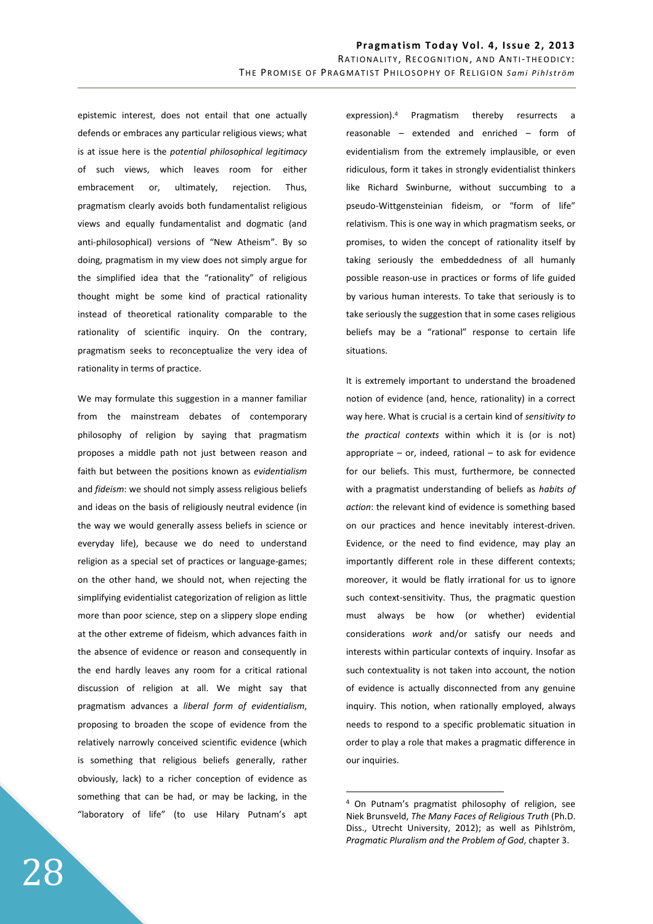epistemic interest, does not entail that one actually defends or embraces any particular religious views; what is at issue here is the *potential philosophical legitimacy* of such views, which leaves room for either embracement or, ultimately, rejection. Thus, pragmatism clearly avoids both fundamentalist religious views and equally fundamentalist and dogmatic (and anti-philosophical) versions of "New Atheism". By so doing, pragmatism in my view does not simply argue for the simplified idea that the "rationality" of religious thought might be some kind of practical rationality instead of theoretical rationality comparable to the rationality of scientific inquiry. On the contrary, pragmatism seeks to reconceptualize the very idea of rationality in terms of practice.

We may formulate this suggestion in a manner familiar from the mainstream debates of contemporary philosophy of religion by saying that pragmatism proposes a middle path not just between reason and faith but between the positions known as *evidentialism* and *fideism*: we should not simply assess religious beliefs and ideas on the basis of religiously neutral evidence (in the way we would generally assess beliefs in science or everyday life), because we do need to understand religion as a special set of practices or language-games; on the other hand, we should not, when rejecting the simplifying evidentialist categorization of religion as little more than poor science, step on a slippery slope ending at the other extreme of fideism, which advances faith in the absence of evidence or reason and consequently in the end hardly leaves any room for a critical rational discussion of religion at all. We might say that pragmatism advances a *liberal form of evidentialism*, proposing to broaden the scope of evidence from the relatively narrowly conceived scientific evidence (which is something that religious beliefs generally, rather obviously, lack) to a richer conception of evidence as something that can be had, or may be lacking, in the "laboratory of life" (to use Hilary Putnam's apt expression).<sup>4</sup> Pragmatism thereby resurrects a reasonable – extended and enriched – form of evidentialism from the extremely implausible, or even ridiculous, form it takes in strongly evidentialist thinkers like Richard Swinburne, without succumbing to a pseudo-Wittgensteinian fideism, or "form of life" relativism. This is one way in which pragmatism seeks, or promises, to widen the concept of rationality itself by taking seriously the embeddedness of all humanly possible reason-use in practices or forms of life guided by various human interests. To take that seriously is to take seriously the suggestion that in some cases religious beliefs may be a "rational" response to certain life situations.

It is extremely important to understand the broadened notion of evidence (and, hence, rationality) in a correct way here. What is crucial is a certain kind of *sensitivity to the practical contexts* within which it is (or is not) appropriate  $-$  or, indeed, rational  $-$  to ask for evidence for our beliefs. This must, furthermore, be connected with a pragmatist understanding of beliefs as *habits of action*: the relevant kind of evidence is something based on our practices and hence inevitably interest-driven. Evidence, or the need to find evidence, may play an importantly different role in these different contexts; moreover, it would be flatly irrational for us to ignore such context-sensitivity. Thus, the pragmatic question must always be how (or whether) evidential considerations *work* and/or satisfy our needs and interests within particular contexts of inquiry. Insofar as such contextuality is not taken into account, the notion of evidence is actually disconnected from any genuine inquiry. This notion, when rationally employed, always needs to respond to a specific problematic situation in order to play a role that makes a pragmatic difference in our inquiries.

<sup>4</sup> On Putnam's pragmatist philosophy of religion, see Niek Brunsveld, *The Many Faces of Religious Truth* (Ph.D. Diss., Utrecht University, 2012); as well as Pihlström, *Pragmatic Pluralism and the Problem of God*, chapter 3.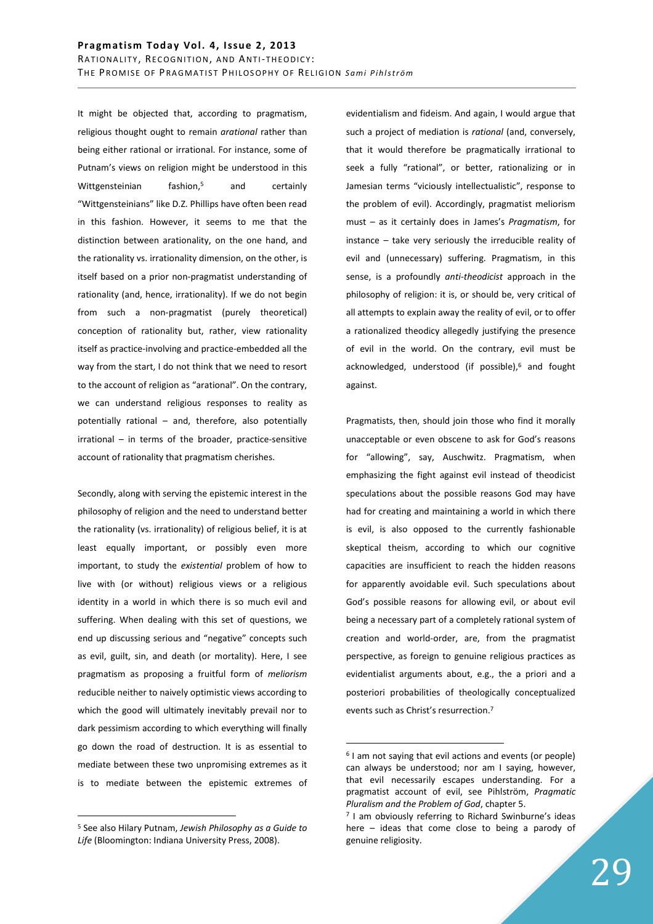It might be objected that, according to pragmatism, religious thought ought to remain *arational* rather than being either rational or irrational. For instance, some of Putnam's views on religion might be understood in this Wittgensteinian fashion,<sup>5</sup> and certainly "Wittgensteinians" like D.Z. Phillips have often been read in this fashion. However, it seems to me that the distinction between arationality, on the one hand, and the rationality vs. irrationality dimension, on the other, is itself based on a prior non-pragmatist understanding of rationality (and, hence, irrationality). If we do not begin from such a non-pragmatist (purely theoretical) conception of rationality but, rather, view rationality itself as practice-involving and practice-embedded all the way from the start, I do not think that we need to resort to the account of religion as "arational". On the contrary, we can understand religious responses to reality as potentially rational – and, therefore, also potentially irrational – in terms of the broader, practice-sensitive account of rationality that pragmatism cherishes.

Secondly, along with serving the epistemic interest in the philosophy of religion and the need to understand better the rationality (vs. irrationality) of religious belief, it is at least equally important, or possibly even more important, to study the *existential* problem of how to live with (or without) religious views or a religious identity in a world in which there is so much evil and suffering. When dealing with this set of questions, we end up discussing serious and "negative" concepts such as evil, guilt, sin, and death (or mortality). Here, I see pragmatism as proposing a fruitful form of *meliorism* reducible neither to naively optimistic views according to which the good will ultimately inevitably prevail nor to dark pessimism according to which everything will finally go down the road of destruction. It is as essential to mediate between these two unpromising extremes as it is to mediate between the epistemic extremes of

5 See also Hilary Putnam, *Jewish Philosophy as a Guide to Life* (Bloomington: Indiana University Press, 2008).

 $\overline{a}$ 

evidentialism and fideism. And again, I would argue that such a project of mediation is *rational* (and, conversely, that it would therefore be pragmatically irrational to seek a fully "rational", or better, rationalizing or in Jamesian terms "viciously intellectualistic", response to the problem of evil). Accordingly, pragmatist meliorism must – as it certainly does in James's *Pragmatism*, for instance – take very seriously the irreducible reality of evil and (unnecessary) suffering. Pragmatism, in this sense, is a profoundly *anti-theodicist* approach in the philosophy of religion: it is, or should be, very critical of all attempts to explain away the reality of evil, or to offer a rationalized theodicy allegedly justifying the presence of evil in the world. On the contrary, evil must be acknowledged, understood (if possible),<sup>6</sup> and fought against.

Pragmatists, then, should join those who find it morally unacceptable or even obscene to ask for God's reasons for "allowing", say, Auschwitz. Pragmatism, when emphasizing the fight against evil instead of theodicist speculations about the possible reasons God may have had for creating and maintaining a world in which there is evil, is also opposed to the currently fashionable skeptical theism, according to which our cognitive capacities are insufficient to reach the hidden reasons for apparently avoidable evil. Such speculations about God's possible reasons for allowing evil, or about evil being a necessary part of a completely rational system of creation and world-order, are, from the pragmatist perspective, as foreign to genuine religious practices as evidentialist arguments about, e.g., the a priori and a posteriori probabilities of theologically conceptualized events such as Christ's resurrection.<sup>7</sup>

<sup>&</sup>lt;sup>6</sup> I am not saying that evil actions and events (or people) can always be understood; nor am I saying, however, that evil necessarily escapes understanding. For a pragmatist account of evil, see Pihlström, *Pragmatic Pluralism and the Problem of God*, chapter 5.

<sup>&</sup>lt;sup>7</sup> I am obviously referring to Richard Swinburne's ideas here – ideas that come close to being a parody of genuine religiosity.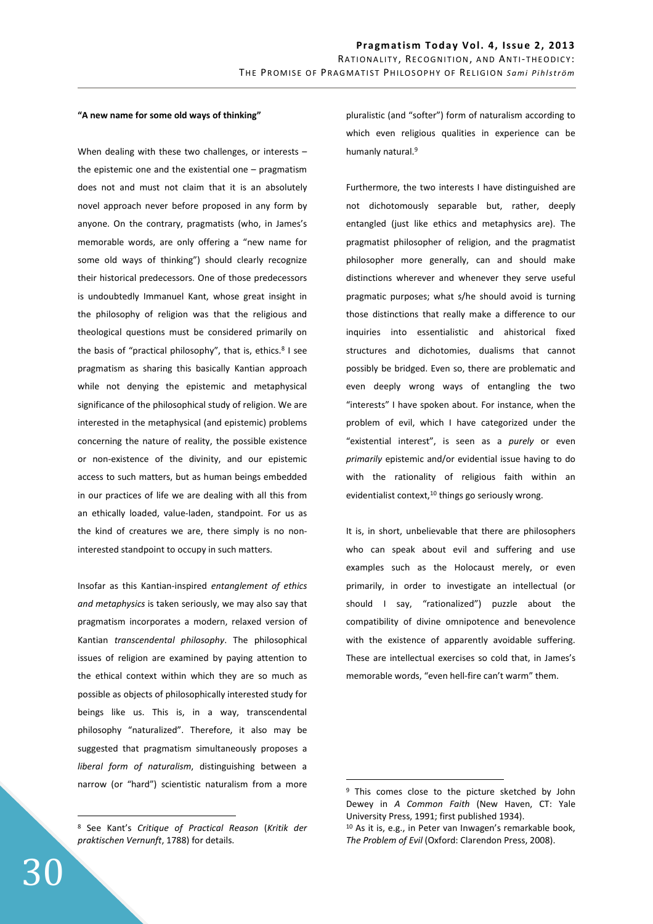## **"A new name for some old ways of thinking"**

When dealing with these two challenges, or interests the epistemic one and the existential one – pragmatism does not and must not claim that it is an absolutely novel approach never before proposed in any form by anyone. On the contrary, pragmatists (who, in James's memorable words, are only offering a "new name for some old ways of thinking") should clearly recognize their historical predecessors. One of those predecessors is undoubtedly Immanuel Kant, whose great insight in the philosophy of religion was that the religious and theological questions must be considered primarily on the basis of "practical philosophy", that is, ethics.<sup>8</sup> I see pragmatism as sharing this basically Kantian approach while not denying the epistemic and metaphysical significance of the philosophical study of religion. We are interested in the metaphysical (and epistemic) problems concerning the nature of reality, the possible existence or non-existence of the divinity, and our epistemic access to such matters, but as human beings embedded in our practices of life we are dealing with all this from an ethically loaded, value-laden, standpoint. For us as the kind of creatures we are, there simply is no noninterested standpoint to occupy in such matters.

Insofar as this Kantian-inspired *entanglement of ethics and metaphysics* is taken seriously, we may also say that pragmatism incorporates a modern, relaxed version of Kantian *transcendental philosophy*. The philosophical issues of religion are examined by paying attention to the ethical context within which they are so much as possible as objects of philosophically interested study for beings like us. This is, in a way, transcendental philosophy "naturalized". Therefore, it also may be suggested that pragmatism simultaneously proposes a *liberal form of naturalism*, distinguishing between a narrow (or "hard") scientistic naturalism from a more pluralistic (and "softer") form of naturalism according to which even religious qualities in experience can be humanly natural.<sup>9</sup>

Furthermore, the two interests I have distinguished are not dichotomously separable but, rather, deeply entangled (just like ethics and metaphysics are). The pragmatist philosopher of religion, and the pragmatist philosopher more generally, can and should make distinctions wherever and whenever they serve useful pragmatic purposes; what s/he should avoid is turning those distinctions that really make a difference to our inquiries into essentialistic and ahistorical fixed structures and dichotomies, dualisms that cannot possibly be bridged. Even so, there are problematic and even deeply wrong ways of entangling the two "interests" I have spoken about. For instance, when the problem of evil, which I have categorized under the "existential interest", is seen as a *purely* or even *primarily* epistemic and/or evidential issue having to do with the rationality of religious faith within an evidentialist context, $10$  things go seriously wrong.

It is, in short, unbelievable that there are philosophers who can speak about evil and suffering and use examples such as the Holocaust merely, or even primarily, in order to investigate an intellectual (or should I say, "rationalized") puzzle about the compatibility of divine omnipotence and benevolence with the existence of apparently avoidable suffering. These are intellectual exercises so cold that, in James's memorable words, "even hell-fire can't warm" them.

 $\overline{a}$ 

<sup>8</sup> See Kant's *Critique of Practical Reason* (*Kritik der praktischen Vernunft*, 1788) for details.

<sup>&</sup>lt;sup>9</sup> This comes close to the picture sketched by John Dewey in *A Common Faith* (New Haven, CT: Yale University Press, 1991; first published 1934).

<sup>10</sup> As it is, e.g., in Peter van Inwagen's remarkable book, *The Problem of Evil* (Oxford: Clarendon Press, 2008).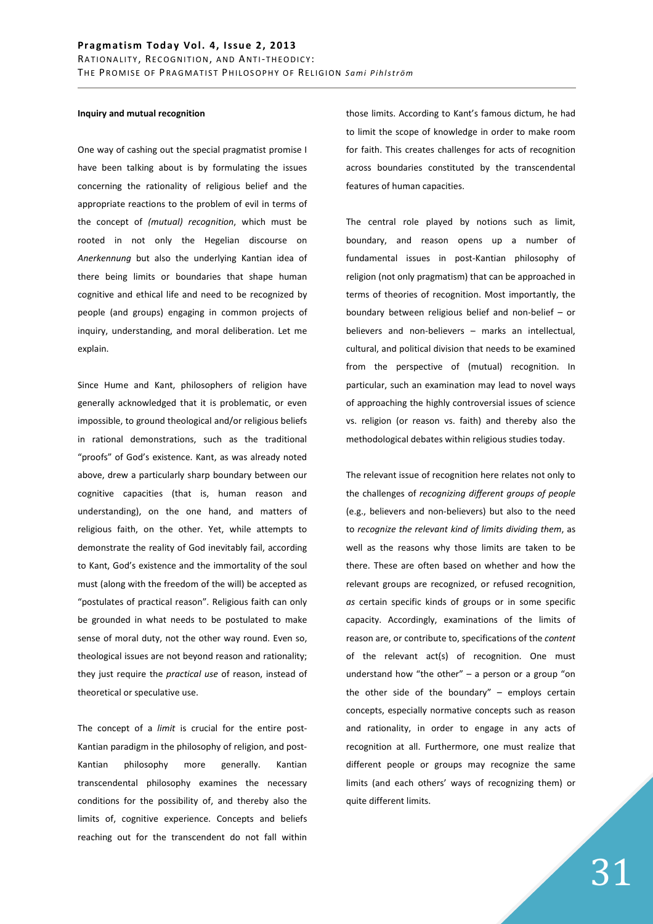# **Inquiry and mutual recognition**

One way of cashing out the special pragmatist promise I have been talking about is by formulating the issues concerning the rationality of religious belief and the appropriate reactions to the problem of evil in terms of the concept of *(mutual) recognition*, which must be rooted in not only the Hegelian discourse on *Anerkennung* but also the underlying Kantian idea of there being limits or boundaries that shape human cognitive and ethical life and need to be recognized by people (and groups) engaging in common projects of inquiry, understanding, and moral deliberation. Let me explain.

Since Hume and Kant, philosophers of religion have generally acknowledged that it is problematic, or even impossible, to ground theological and/or religious beliefs in rational demonstrations, such as the traditional "proofs" of God's existence. Kant, as was already noted above, drew a particularly sharp boundary between our cognitive capacities (that is, human reason and understanding), on the one hand, and matters of religious faith, on the other. Yet, while attempts to demonstrate the reality of God inevitably fail, according to Kant, God's existence and the immortality of the soul must (along with the freedom of the will) be accepted as "postulates of practical reason". Religious faith can only be grounded in what needs to be postulated to make sense of moral duty, not the other way round. Even so, theological issues are not beyond reason and rationality; they just require the *practical use* of reason, instead of theoretical or speculative use.

The concept of a *limit* is crucial for the entire post-Kantian paradigm in the philosophy of religion, and post-Kantian philosophy more generally. Kantian transcendental philosophy examines the necessary conditions for the possibility of, and thereby also the limits of, cognitive experience. Concepts and beliefs reaching out for the transcendent do not fall within those limits. According to Kant's famous dictum, he had to limit the scope of knowledge in order to make room for faith. This creates challenges for acts of recognition across boundaries constituted by the transcendental features of human capacities.

The central role played by notions such as limit, boundary, and reason opens up a number of fundamental issues in post-Kantian philosophy of religion (not only pragmatism) that can be approached in terms of theories of recognition. Most importantly, the boundary between religious belief and non-belief – or believers and non-believers – marks an intellectual, cultural, and political division that needs to be examined from the perspective of (mutual) recognition. In particular, such an examination may lead to novel ways of approaching the highly controversial issues of science vs. religion (or reason vs. faith) and thereby also the methodological debates within religious studies today.

The relevant issue of recognition here relates not only to the challenges of *recognizing different groups of people* (e.g., believers and non-believers) but also to the need to *recognize the relevant kind of limits dividing them*, as well as the reasons why those limits are taken to be there. These are often based on whether and how the relevant groups are recognized, or refused recognition, *as* certain specific kinds of groups or in some specific capacity. Accordingly, examinations of the limits of reason are, or contribute to, specifications of the *content* of the relevant act(s) of recognition. One must understand how "the other"  $-$  a person or a group "on the other side of the boundary"  $-$  employs certain concepts, especially normative concepts such as reason and rationality, in order to engage in any acts of recognition at all. Furthermore, one must realize that different people or groups may recognize the same limits (and each others' ways of recognizing them) or quite different limits.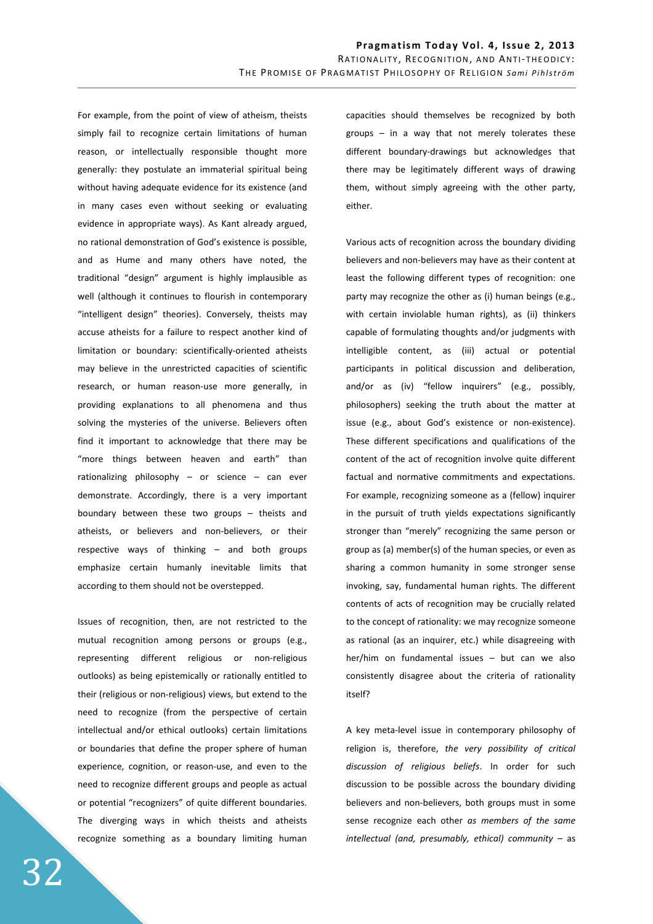For example, from the point of view of atheism, theists simply fail to recognize certain limitations of human reason, or intellectually responsible thought more generally: they postulate an immaterial spiritual being without having adequate evidence for its existence (and in many cases even without seeking or evaluating evidence in appropriate ways). As Kant already argued, no rational demonstration of God's existence is possible, and as Hume and many others have noted, the traditional "design" argument is highly implausible as well (although it continues to flourish in contemporary "intelligent design" theories). Conversely, theists may accuse atheists for a failure to respect another kind of limitation or boundary: scientifically-oriented atheists may believe in the unrestricted capacities of scientific research, or human reason-use more generally, in providing explanations to all phenomena and thus solving the mysteries of the universe. Believers often find it important to acknowledge that there may be "more things between heaven and earth" than rationalizing philosophy – or science – can ever demonstrate. Accordingly, there is a very important boundary between these two groups – theists and atheists, or believers and non-believers, or their respective ways of thinking – and both groups emphasize certain humanly inevitable limits that according to them should not be overstepped.

Issues of recognition, then, are not restricted to the mutual recognition among persons or groups (e.g., representing different religious or non-religious outlooks) as being epistemically or rationally entitled to their (religious or non-religious) views, but extend to the need to recognize (from the perspective of certain intellectual and/or ethical outlooks) certain limitations or boundaries that define the proper sphere of human experience, cognition, or reason-use, and even to the need to recognize different groups and people as actual or potential "recognizers" of quite different boundaries. The diverging ways in which theists and atheists recognize something as a boundary limiting human capacities should themselves be recognized by both groups – in a way that not merely tolerates these different boundary-drawings but acknowledges that there may be legitimately different ways of drawing them, without simply agreeing with the other party, either.

Various acts of recognition across the boundary dividing believers and non-believers may have as their content at least the following different types of recognition: one party may recognize the other as (i) human beings (e.g., with certain inviolable human rights), as (ii) thinkers capable of formulating thoughts and/or judgments with intelligible content, as (iii) actual or potential participants in political discussion and deliberation, and/or as (iv) "fellow inquirers" (e.g., possibly, philosophers) seeking the truth about the matter at issue (e.g., about God's existence or non-existence). These different specifications and qualifications of the content of the act of recognition involve quite different factual and normative commitments and expectations. For example, recognizing someone as a (fellow) inquirer in the pursuit of truth yields expectations significantly stronger than "merely" recognizing the same person or group as (a) member(s) of the human species, or even as sharing a common humanity in some stronger sense invoking, say, fundamental human rights. The different contents of acts of recognition may be crucially related to the concept of rationality: we may recognize someone as rational (as an inquirer, etc.) while disagreeing with her/him on fundamental issues – but can we also consistently disagree about the criteria of rationality itself?

A key meta-level issue in contemporary philosophy of religion is, therefore, *the very possibility of critical discussion of religious beliefs*. In order for such discussion to be possible across the boundary dividing believers and non-believers, both groups must in some sense recognize each other *as members of the same intellectual (and, presumably, ethical) community* – as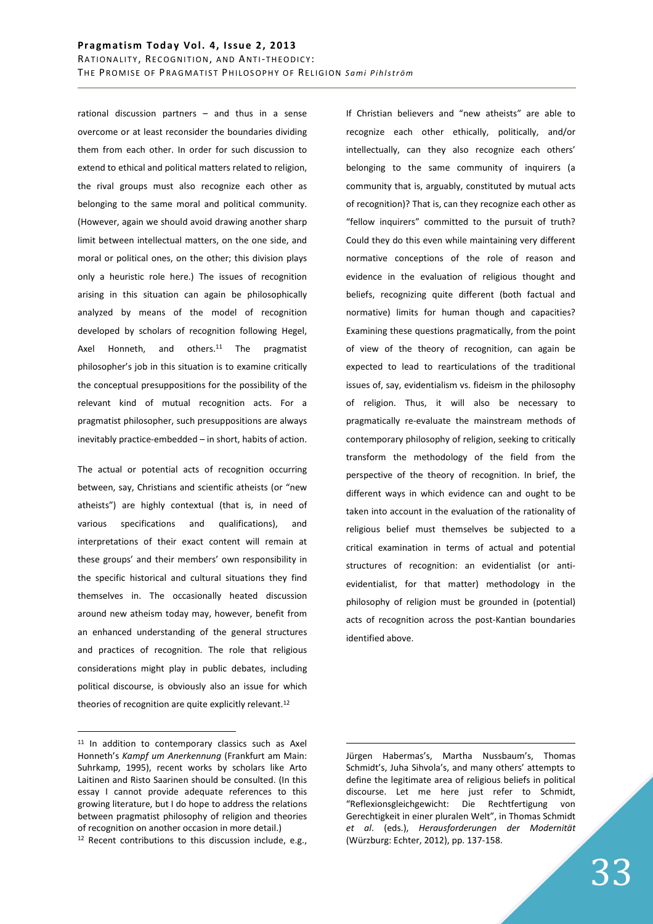# Pragmatism Today Vol. 4, Issue 2, 2013 RATIONALITY, RECOGNITION, AND ANTI-THEODICY: THE PROMISE OF PRAGMATIST PHILOSOPHY OF RELIGION Sami Pihlström

rational discussion partners – and thus in a sense overcome or at least reconsider the boundaries dividing them from each other. In order for such discussion to extend to ethical and political matters related to religion, the rival groups must also recognize each other as belonging to the same moral and political community. (However, again we should avoid drawing another sharp limit between intellectual matters, on the one side, and moral or political ones, on the other; this division plays only a heuristic role here.) The issues of recognition arising in this situation can again be philosophically analyzed by means of the model of recognition developed by scholars of recognition following Hegel, Axel Honneth, and others. $11$  The pragmatist philosopher's job in this situation is to examine critically the conceptual presuppositions for the possibility of the relevant kind of mutual recognition acts. For a pragmatist philosopher, such presuppositions are always inevitably practice-embedded – in short, habits of action.

The actual or potential acts of recognition occurring between, say, Christians and scientific atheists (or "new atheists") are highly contextual (that is, in need of various specifications and qualifications), and interpretations of their exact content will remain at these groups' and their members' own responsibility in the specific historical and cultural situations they find themselves in. The occasionally heated discussion around new atheism today may, however, benefit from an enhanced understanding of the general structures and practices of recognition. The role that religious considerations might play in public debates, including political discourse, is obviously also an issue for which theories of recognition are quite explicitly relevant.<sup>12</sup>

 $\overline{a}$ 

If Christian believers and "new atheists" are able to recognize each other ethically, politically, and/or intellectually, can they also recognize each others' belonging to the same community of inquirers (a community that is, arguably, constituted by mutual acts of recognition)? That is, can they recognize each other as "fellow inquirers" committed to the pursuit of truth? Could they do this even while maintaining very different normative conceptions of the role of reason and evidence in the evaluation of religious thought and beliefs, recognizing quite different (both factual and normative) limits for human though and capacities? Examining these questions pragmatically, from the point of view of the theory of recognition, can again be expected to lead to rearticulations of the traditional issues of, say, evidentialism vs. fideism in the philosophy of religion. Thus, it will also be necessary to pragmatically re-evaluate the mainstream methods of contemporary philosophy of religion, seeking to critically transform the methodology of the field from the perspective of the theory of recognition. In brief, the different ways in which evidence can and ought to be taken into account in the evaluation of the rationality of religious belief must themselves be subjected to a critical examination in terms of actual and potential structures of recognition: an evidentialist (or antievidentialist, for that matter) methodology in the philosophy of religion must be grounded in (potential) acts of recognition across the post-Kantian boundaries identified above.

<sup>&</sup>lt;sup>11</sup> In addition to contemporary classics such as Axel Honneth's *Kampf um Anerkennung* (Frankfurt am Main: Suhrkamp, 1995), recent works by scholars like Arto Laitinen and Risto Saarinen should be consulted. (In this essay I cannot provide adequate references to this growing literature, but I do hope to address the relations between pragmatist philosophy of religion and theories of recognition on another occasion in more detail.)

<sup>12</sup> Recent contributions to this discussion include, e.g.,

Jürgen Habermas's, Martha Nussbaum's, Thomas Schmidt's, Juha Sihvola's, and many others' attempts to define the legitimate area of religious beliefs in political discourse. Let me here just refer to Schmidt, "Reflexionsgleichgewicht: Die Rechtfertigung von Gerechtigkeit in einer pluralen Welt", in Thomas Schmidt *et al*. (eds.), *Herausforderungen der Modernität*  (Würzburg: Echter, 2012), pp. 137-158.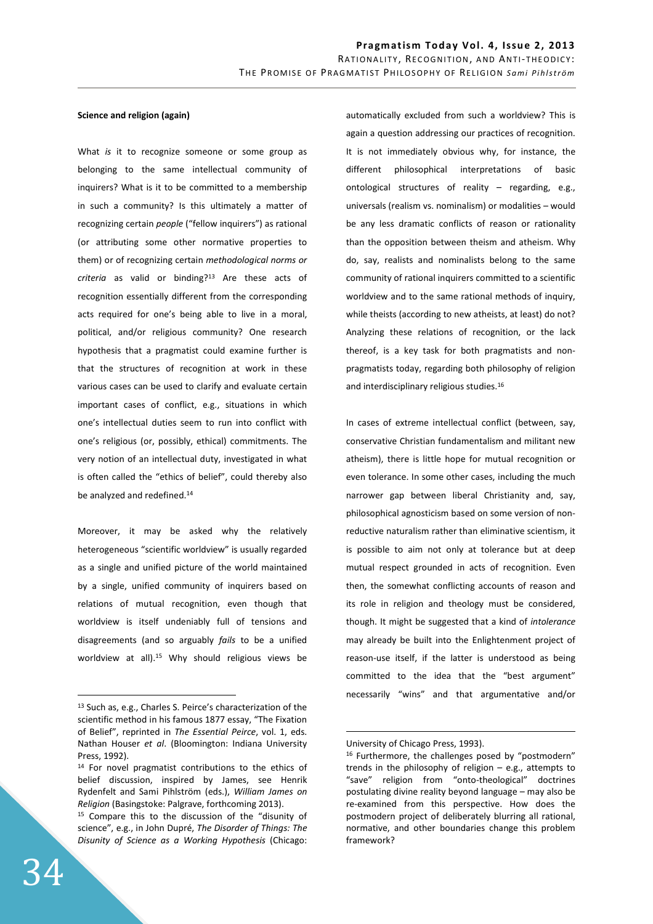## **Science and religion (again)**

What *is* it to recognize someone or some group as belonging to the same intellectual community of inquirers? What is it to be committed to a membership in such a community? Is this ultimately a matter of recognizing certain *people* ("fellow inquirers") as rational (or attributing some other normative properties to them) or of recognizing certain *methodological norms or criteria* as valid or binding?<sup>13</sup> Are these acts of recognition essentially different from the corresponding acts required for one's being able to live in a moral, political, and/or religious community? One research hypothesis that a pragmatist could examine further is that the structures of recognition at work in these various cases can be used to clarify and evaluate certain important cases of conflict, e.g., situations in which one's intellectual duties seem to run into conflict with one's religious (or, possibly, ethical) commitments. The very notion of an intellectual duty, investigated in what is often called the "ethics of belief", could thereby also be analyzed and redefined.<sup>14</sup>

Moreover, it may be asked why the relatively heterogeneous "scientific worldview" is usually regarded as a single and unified picture of the world maintained by a single, unified community of inquirers based on relations of mutual recognition, even though that worldview is itself undeniably full of tensions and disagreements (and so arguably *fails* to be a unified worldview at all).<sup>15</sup> Why should religious views be

automatically excluded from such a worldview? This is again a question addressing our practices of recognition. It is not immediately obvious why, for instance, the different philosophical interpretations of basic ontological structures of reality – regarding, e.g., universals (realism vs. nominalism) or modalities – would be any less dramatic conflicts of reason or rationality than the opposition between theism and atheism. Why do, say, realists and nominalists belong to the same community of rational inquirers committed to a scientific worldview and to the same rational methods of inquiry, while theists (according to new atheists, at least) do not? Analyzing these relations of recognition, or the lack thereof, is a key task for both pragmatists and nonpragmatists today, regarding both philosophy of religion and interdisciplinary religious studies.<sup>16</sup>

In cases of extreme intellectual conflict (between, say, conservative Christian fundamentalism and militant new atheism), there is little hope for mutual recognition or even tolerance. In some other cases, including the much narrower gap between liberal Christianity and, say, philosophical agnosticism based on some version of nonreductive naturalism rather than eliminative scientism, it is possible to aim not only at tolerance but at deep mutual respect grounded in acts of recognition. Even then, the somewhat conflicting accounts of reason and its role in religion and theology must be considered, though. It might be suggested that a kind of *intolerance* may already be built into the Enlightenment project of reason-use itself, if the latter is understood as being committed to the idea that the "best argument" necessarily "wins" and that argumentative and/or

 $\overline{a}$ 

<sup>13</sup> Such as, e.g., Charles S. Peirce's characterization of the scientific method in his famous 1877 essay, "The Fixation of Belief", reprinted in *The Essential Peirce*, vol. 1, eds. Nathan Houser *et al*. (Bloomington: Indiana University Press, 1992).

<sup>14</sup> For novel pragmatist contributions to the ethics of belief discussion, inspired by James, see Henrik Rydenfelt and Sami Pihlström (eds.), *William James on Religion* (Basingstoke: Palgrave, forthcoming 2013).

<sup>15</sup> Compare this to the discussion of the "disunity of science", e.g., in John Dupré, *The Disorder of Things: The Disunity of Science as a Working Hypothesis* (Chicago:

University of Chicago Press, 1993).

<sup>&</sup>lt;sup>16</sup> Furthermore, the challenges posed by "postmodern" trends in the philosophy of religion – e.g., attempts to "save" religion from "onto-theological" doctrines postulating divine reality beyond language – may also be re-examined from this perspective. How does the postmodern project of deliberately blurring all rational, normative, and other boundaries change this problem framework?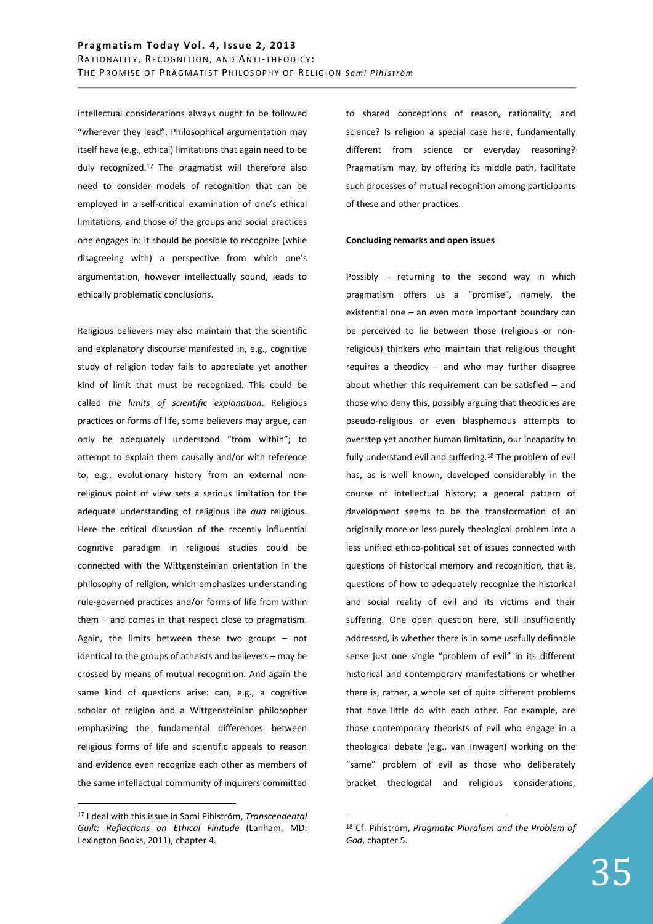intellectual considerations always ought to be followed "wherever they lead". Philosophical argumentation may itself have (e.g., ethical) limitations that again need to be duly recognized.<sup>17</sup> The pragmatist will therefore also need to consider models of recognition that can be employed in a self-critical examination of one's ethical limitations, and those of the groups and social practices one engages in: it should be possible to recognize (while disagreeing with) a perspective from which one's argumentation, however intellectually sound, leads to ethically problematic conclusions.

Religious believers may also maintain that the scientific and explanatory discourse manifested in, e.g., cognitive study of religion today fails to appreciate yet another kind of limit that must be recognized. This could be called *the limits of scientific explanation*. Religious practices or forms of life, some believers may argue, can only be adequately understood "from within"; to attempt to explain them causally and/or with reference to, e.g., evolutionary history from an external nonreligious point of view sets a serious limitation for the adequate understanding of religious life *qua* religious. Here the critical discussion of the recently influential cognitive paradigm in religious studies could be connected with the Wittgensteinian orientation in the philosophy of religion, which emphasizes understanding rule-governed practices and/or forms of life from within them – and comes in that respect close to pragmatism. Again, the limits between these two groups – not identical to the groups of atheists and believers – may be crossed by means of mutual recognition. And again the same kind of questions arise: can, e.g., a cognitive scholar of religion and a Wittgensteinian philosopher emphasizing the fundamental differences between religious forms of life and scientific appeals to reason and evidence even recognize each other as members of the same intellectual community of inquirers committed

 $\overline{a}$ 

to shared conceptions of reason, rationality, and science? Is religion a special case here, fundamentally different from science or everyday reasoning? Pragmatism may, by offering its middle path, facilitate such processes of mutual recognition among participants of these and other practices.

#### **Concluding remarks and open issues**

Possibly – returning to the second way in which pragmatism offers us a "promise", namely, the existential one – an even more important boundary can be perceived to lie between those (religious or nonreligious) thinkers who maintain that religious thought requires a theodicy – and who may further disagree about whether this requirement can be satisfied – and those who deny this, possibly arguing that theodicies are pseudo-religious or even blasphemous attempts to overstep yet another human limitation, our incapacity to fully understand evil and suffering.<sup>18</sup> The problem of evil has, as is well known, developed considerably in the course of intellectual history; a general pattern of development seems to be the transformation of an originally more or less purely theological problem into a less unified ethico-political set of issues connected with questions of historical memory and recognition, that is, questions of how to adequately recognize the historical and social reality of evil and its victims and their suffering. One open question here, still insufficiently addressed, is whether there is in some usefully definable sense just one single "problem of evil" in its different historical and contemporary manifestations or whether there is, rather, a whole set of quite different problems that have little do with each other. For example, are those contemporary theorists of evil who engage in a theological debate (e.g., van Inwagen) working on the "same" problem of evil as those who deliberately bracket theological and religious considerations,

<sup>17</sup> I deal with this issue in Sami Pihlström, *Transcendental Guilt: Reflections on Ethical Finitude* (Lanham, MD: Lexington Books, 2011), chapter 4.

<sup>18</sup> Cf. Pihlström, *Pragmatic Pluralism and the Problem of God*, chapter 5.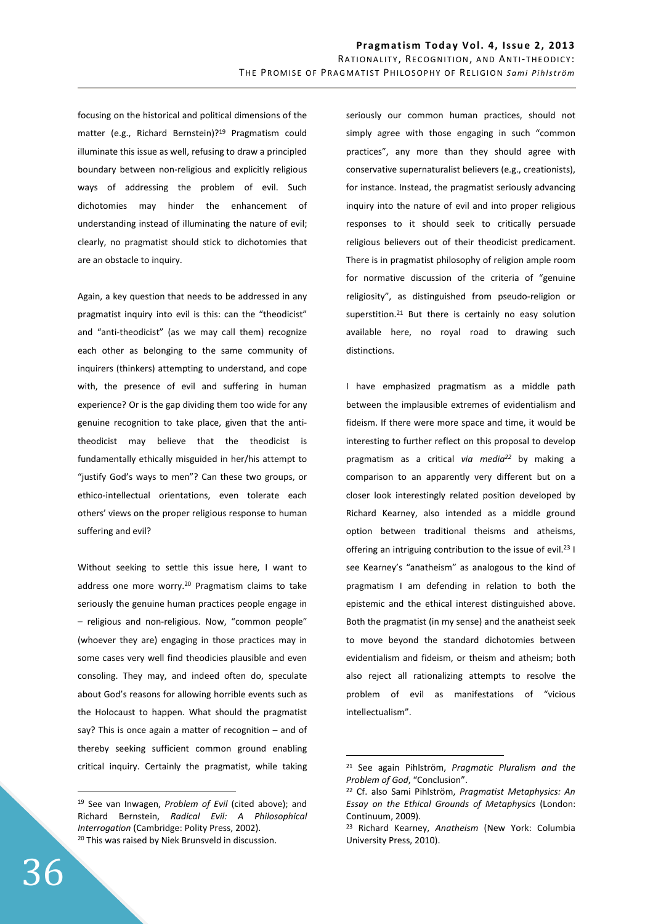focusing on the historical and political dimensions of the matter (e.g., Richard Bernstein)?<sup>19</sup> Pragmatism could illuminate this issue as well, refusing to draw a principled boundary between non-religious and explicitly religious ways of addressing the problem of evil. Such dichotomies may hinder the enhancement of understanding instead of illuminating the nature of evil; clearly, no pragmatist should stick to dichotomies that are an obstacle to inquiry.

Again, a key question that needs to be addressed in any pragmatist inquiry into evil is this: can the "theodicist" and "anti-theodicist" (as we may call them) recognize each other as belonging to the same community of inquirers (thinkers) attempting to understand, and cope with, the presence of evil and suffering in human experience? Or is the gap dividing them too wide for any genuine recognition to take place, given that the antitheodicist may believe that the theodicist is fundamentally ethically misguided in her/his attempt to "justify God's ways to men"? Can these two groups, or ethico-intellectual orientations, even tolerate each others' views on the proper religious response to human suffering and evil?

Without seeking to settle this issue here, I want to address one more worry.<sup>20</sup> Pragmatism claims to take seriously the genuine human practices people engage in – religious and non-religious. Now, "common people" (whoever they are) engaging in those practices may in some cases very well find theodicies plausible and even consoling. They may, and indeed often do, speculate about God's reasons for allowing horrible events such as the Holocaust to happen. What should the pragmatist say? This is once again a matter of recognition – and of thereby seeking sufficient common ground enabling critical inquiry. Certainly the pragmatist, while taking seriously our common human practices, should not simply agree with those engaging in such "common practices", any more than they should agree with conservative supernaturalist believers (e.g., creationists), for instance. Instead, the pragmatist seriously advancing inquiry into the nature of evil and into proper religious responses to it should seek to critically persuade religious believers out of their theodicist predicament. There is in pragmatist philosophy of religion ample room for normative discussion of the criteria of "genuine religiosity", as distinguished from pseudo-religion or superstition.<sup>21</sup> But there is certainly no easy solution available here, no royal road to drawing such distinctions.

I have emphasized pragmatism as a middle path between the implausible extremes of evidentialism and fideism. If there were more space and time, it would be interesting to further reflect on this proposal to develop pragmatism as a critical *via media<sup>22</sup>* by making a comparison to an apparently very different but on a closer look interestingly related position developed by Richard Kearney, also intended as a middle ground option between traditional theisms and atheisms, offering an intriguing contribution to the issue of evil.<sup>23</sup> I see Kearney's "anatheism" as analogous to the kind of pragmatism I am defending in relation to both the epistemic and the ethical interest distinguished above. Both the pragmatist (in my sense) and the anatheist seek to move beyond the standard dichotomies between evidentialism and fideism, or theism and atheism; both also reject all rationalizing attempts to resolve the problem of evil as manifestations of "vicious intellectualism".

 $\overline{a}$ 

<sup>19</sup> See van Inwagen, *Problem of Evil* (cited above); and Richard Bernstein, *Radical Evil: A Philosophical Interrogation* (Cambridge: Polity Press, 2002). <sup>20</sup> This was raised by Niek Brunsveld in discussion.

<sup>21</sup> See again Pihlström, *Pragmatic Pluralism and the Problem of God*, "Conclusion".

<sup>22</sup> Cf. also Sami Pihlström, *Pragmatist Metaphysics: An Essay on the Ethical Grounds of Metaphysics* (London: Continuum, 2009).

<sup>23</sup> Richard Kearney, *Anatheism* (New York: Columbia University Press, 2010).